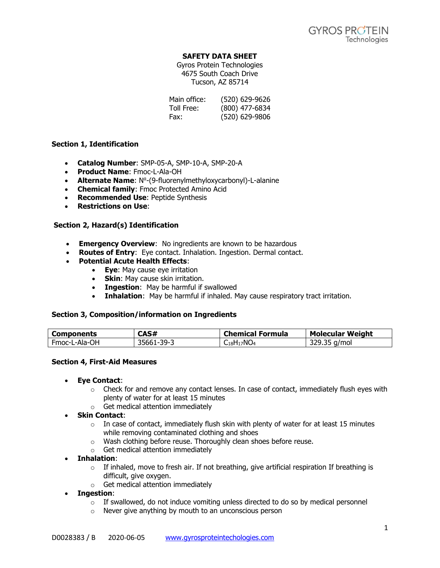# **SAFETY DATA SHEET**

Gyros Protein Technologies 4675 South Coach Drive Tucson, AZ 85714

| Main office: | (520) 629-9626 |
|--------------|----------------|
| Toll Free:   | (800) 477-6834 |
| Fax:         | (520) 629-9806 |

# **Section 1, Identification**

- **Catalog Number**: SMP-05-A, SMP-10-A, SMP-20-A
- **Product Name**: Fmoc-L-Ala-OH
- **Alternate Name**: N<sup>o</sup>-(9-fluorenylmethyloxycarbonyl)-L-alanine
- **Chemical family**: Fmoc Protected Amino Acid
- **Recommended Use**: Peptide Synthesis
- **Restrictions on Use**:

# **Section 2, Hazard(s) Identification**

- **Emergency Overview**: No ingredients are known to be hazardous
- **Routes of Entry**: Eye contact. Inhalation. Ingestion. Dermal contact.
- **Potential Acute Health Effects**:
	- **Eye**: May cause eye irritation
	- **Skin**: May cause skin irritation.
	- **Ingestion**: May be harmful if swallowed
	- **Inhalation**: May be harmful if inhaled. May cause respiratory tract irritation.

# **Section 3, Composition/information on Ingredients**

| Components    | CAS#       | <b>Chemical Formula</b> | <b>Molecular Weight</b> |
|---------------|------------|-------------------------|-------------------------|
| Fmoc-L-Ala-OH | 35661-39-3 | $_{18}H_{17}NO_4$       | 35 a/mol<br>270.        |

# **Section 4, First-Aid Measures**

- **Eye Contact**:
	- $\circ$  Check for and remove any contact lenses. In case of contact, immediately flush eyes with plenty of water for at least 15 minutes
	- o Get medical attention immediately
- **Skin Contact**:
	- $\circ$  In case of contact, immediately flush skin with plenty of water for at least 15 minutes while removing contaminated clothing and shoes
	- o Wash clothing before reuse. Thoroughly clean shoes before reuse.
	- o Get medical attention immediately
- **Inhalation**:
	- $\circ$  If inhaled, move to fresh air. If not breathing, give artificial respiration If breathing is difficult, give oxygen.
	- o Get medical attention immediately
- **Ingestion**:
	- $\circ$  If swallowed, do not induce vomiting unless directed to do so by medical personnel
	- o Never give anything by mouth to an unconscious person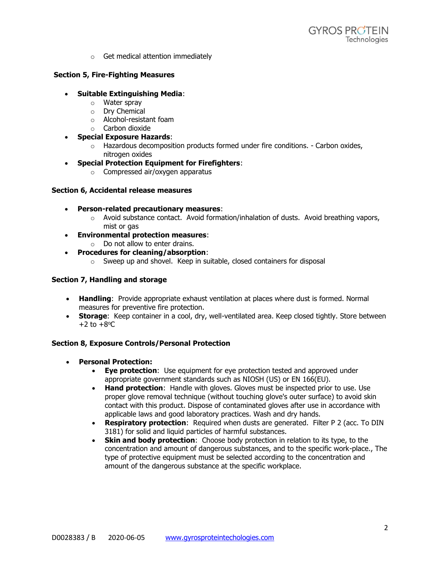o Get medical attention immediately

# **Section 5, Fire-Fighting Measures**

- **Suitable Extinguishing Media**:
	- o Water spray
	- o Dry Chemical
	- o Alcohol-resistant foam
	- o Carbon dioxide
- **Special Exposure Hazards**:
	- $\circ$  Hazardous decomposition products formed under fire conditions. Carbon oxides, nitrogen oxides
- **Special Protection Equipment for Firefighters**:
	- o Compressed air/oxygen apparatus

# **Section 6, Accidental release measures**

- **Person-related precautionary measures**:
	- $\circ$  Avoid substance contact. Avoid formation/inhalation of dusts. Avoid breathing vapors, mist or gas
- **Environmental protection measures**:
	- $\circ$  Do not allow to enter drains.
- **Procedures for cleaning/absorption**:
	- o Sweep up and shovel. Keep in suitable, closed containers for disposal

# **Section 7, Handling and storage**

- **Handling**: Provide appropriate exhaust ventilation at places where dust is formed. Normal measures for preventive fire protection.
- **Storage**: Keep container in a cool, dry, well-ventilated area. Keep closed tightly. Store between  $+2$  to  $+8$ <sup>o</sup>C

# **Section 8, Exposure Controls/Personal Protection**

- **Personal Protection:**
	- **Eye protection**: Use equipment for eye protection tested and approved under appropriate government standards such as NIOSH (US) or EN 166(EU).
	- **Hand protection**: Handle with gloves. Gloves must be inspected prior to use. Use proper glove removal technique (without touching glove's outer surface) to avoid skin contact with this product. Dispose of contaminated gloves after use in accordance with applicable laws and good laboratory practices. Wash and dry hands.
	- **Respiratory protection**: Required when dusts are generated. Filter P 2 (acc. To DIN 3181) for solid and liquid particles of harmful substances.
	- **Skin and body protection**: Choose body protection in relation to its type, to the concentration and amount of dangerous substances, and to the specific work-place., The type of protective equipment must be selected according to the concentration and amount of the dangerous substance at the specific workplace.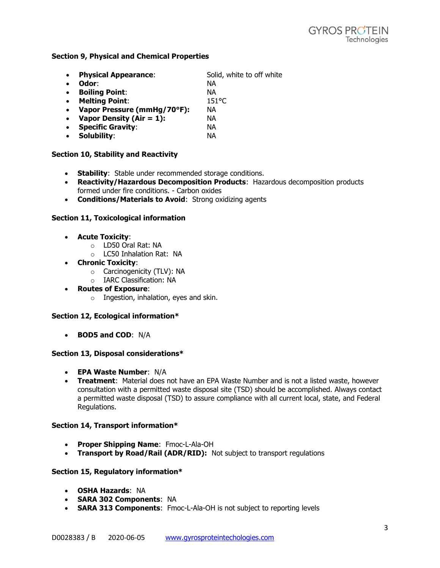### **Section 9, Physical and Chemical Properties**

• **Physical Appearance:** Solid, white to off white • **Odor**: NA • **Boiling Point**: NA • **Melting Point**: 151°C • **Vapor Pressure (mmHg/70°F):** NA • **Vapor Density (Air = 1):** NA • **Specific Gravity**: NA • **Solubility**: NA

### **Section 10, Stability and Reactivity**

- **Stability**: Stable under recommended storage conditions.
- **Reactivity/Hazardous Decomposition Products**: Hazardous decomposition products formed under fire conditions. - Carbon oxides
- **Conditions/Materials to Avoid**: Strong oxidizing agents

### **Section 11, Toxicological information**

- **Acute Toxicity**:
	- o LD50 Oral Rat: NA
	- o LC50 Inhalation Rat: NA
- **Chronic Toxicity**:
	- o Carcinogenicity (TLV): NA
	- o IARC Classification: NA
- **Routes of Exposure**:
	- o Ingestion, inhalation, eyes and skin.

# **Section 12, Ecological information\***

• **BOD5 and COD**: N/A

#### **Section 13, Disposal considerations\***

- **EPA Waste Number**: N/A
- **Treatment**: Material does not have an EPA Waste Number and is not a listed waste, however consultation with a permitted waste disposal site (TSD) should be accomplished. Always contact a permitted waste disposal (TSD) to assure compliance with all current local, state, and Federal Regulations.

#### **Section 14, Transport information\***

- **Proper Shipping Name**: Fmoc-L-Ala-OH
- **Transport by Road/Rail (ADR/RID):** Not subject to transport regulations

#### **Section 15, Regulatory information\***

- **OSHA Hazards**: NA
- **SARA 302 Components**: NA
- **SARA 313 Components**: Fmoc-L-Ala-OH is not subject to reporting levels